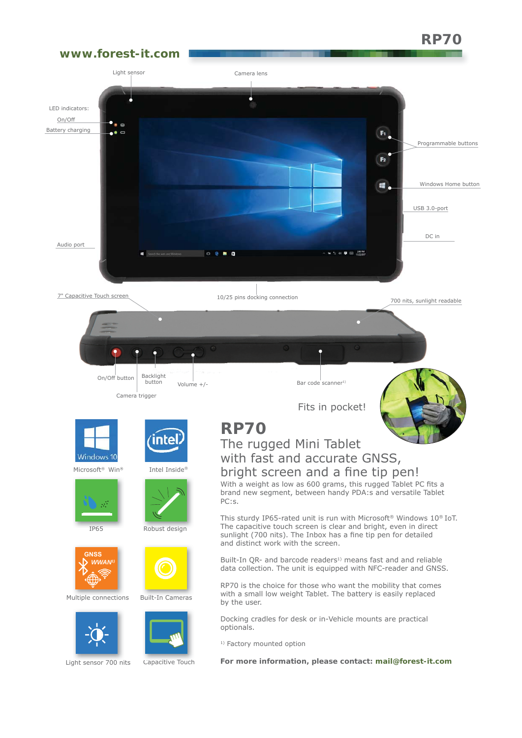# **RP70**